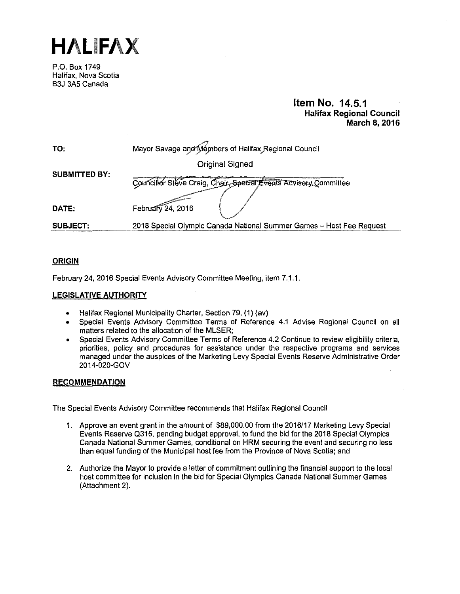**HALIFAX** 

P.O. Box 1749 Halifax, Nova Scotia B3J 3A5 Canada

# **Item No. 14.5.1 Halifax Regional Council March 8, 2016**

| TO:                  | Mayor Savage and Members of Halifax Regional Council                 |
|----------------------|----------------------------------------------------------------------|
| <b>SUBMITTED BY:</b> | <b>Original Signed</b>                                               |
|                      | Councillor Steve Craig, Chair, Special Events Advisory Committee     |
| DATE:                | February 24, 2016                                                    |
| <b>SUBJECT:</b>      | 2018 Special Olympic Canada National Summer Games - Host Fee Request |

# **ORIGIN**

February 24. 2016 Special Events Advisory Committee Meeting, item 7.1.1.

# **LEGISLATIVE AUTHORITY**

- Halifax Regional Municipality Charter, Section 79, (1) (av)
- Special Events Advisory Committee Terms of Reference 4.1 Advise Regional Council on all matters related to the allocation of the MLSER;
- Special Events Advisory Committee Terms of Reference 4.2 Continue to review eligibility criteria, priorities, policy and procedures for assistance under the respective programs and services managed under the auspices of the Marketing Levy Special Events Reserve Administrative Order 2014-020-GOV

# **RECOMMENDATION**

The Special Events Advisory Committee recommends that Halifax Regional Council

- 1. Approve an event grant in the amount of \$89,000.00 from the 2016/17 Marketing Levy Special Events Reserve 0315, pending budget approval, to fund the bid for the 2018 Special Olympics Canada National Summer Games, conditional on HRM securing the event and securing no less than equal funding of the Municipal host fee from the Province of Nova Scotia; and
- 2. Authorize the Mayor to provide a letter of commitment outlining the financial support to the local host committee for inclusion in the bid for Special Olympics Canada National Summer Games (Attachment 2).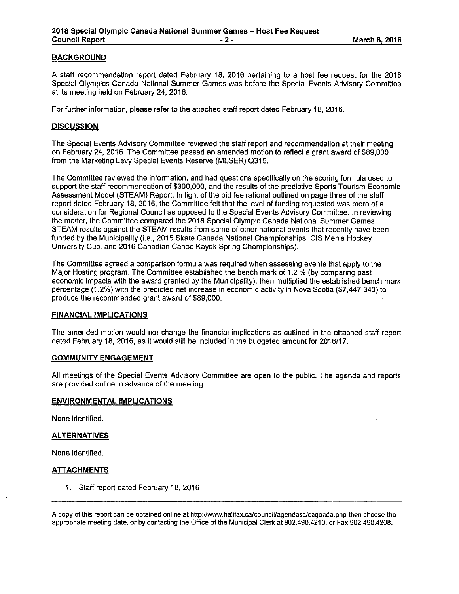# **BACKGROUND**

A staff recommendation report dated February 18, 2016 pertaining to a host fee request for the 2018 Special Olympics Canada National Summer Games was before the Special Events Advisory Committee at its meeting held on February 24, 2016.

For further information, please refer to the attached staff report dated February 18, 2016.

# **DISCUSSION**

The Special Events Advisory Committee reviewed the staff report and recommendation at their meeting on February 24, 2016. The Committee passed an amended motion to reflect a grant award of \$89,000 from the Marketing Levy Special Events Reserve (MLSER) 0315.

The Committee reviewed the information, and had questions specifically on the scoring formula used to support the staff recommendation of \$300,000, and the results of the predictive Sports Tourism Economic Assessment Model (STEAM) Report. In light of the bid fee rational outlined on page three of the staff report dated February 18, 2016, the Committee felt that the level of funding requested was more of a consideration for Regional Council as opposed to the Special Events Advisory Committee. In reviewing the matter, the Committee compared the 2018 Special Olympic Canada National Summer Games STEAM results against the STEAM results from some of other national events that recently have been funded by the Municipality (i.e., 2015 Skate Canada National Championships, CIS Men's Hockey University Cup, and 2016 Canadian Canoe Kayak Spring Championships).

The Committee agreed a comparison formula was required when assessing events that apply to the Major Hosting program. The Committee established the bench mark of 1.2 % (by comparing past economic impacts with the award granted by the Municipality), then multiplied the established bench mark percentage (1.2%) with the predicted net increase in economic activity in Nova Scotia (\$7,447,340) to produce the recommended grant award of \$89,000.

#### **FINANCIAL IMPLICATIONS**

The amended motion would not change the financial implications as outlined in the attached staff report dated February 18, 2016, as it would still be included in the budgeted amount for 2016/17.

# **COMMUNITY ENGAGEMENT**

All meetings of the Special Events Advisory Committee are open to the public. The agenda and reports are provided online in advance of the meeting.

#### **ENVIRONMENTAL IMPLICATIONS**

None identified.

# **ALTERNATIVES**

None identified.

# **ATTACHMENTS**

1 . Staff report dated February 18, 2016

A copy of this report can be obtained online at http://www.halifax.ca/council/agendasc/cagenda.php then choose the appropriate meeting date, or by contacting the Office of the Municipal Clerk at 902.490.4210, or Fax 902.490.4208.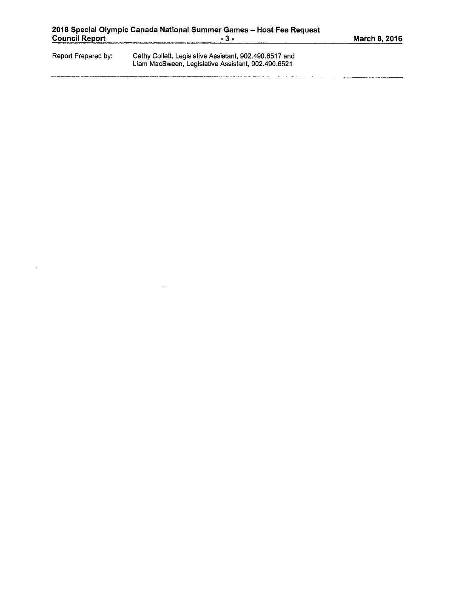|  |  | March 8, 2016 |  |  |
|--|--|---------------|--|--|
|  |  |               |  |  |

| Report Prepared by: | Cathy Collett, Legislative Assistant, 902.490.6517 and |
|---------------------|--------------------------------------------------------|
|                     | Liam MacSween, Legislative Assistant, 902.490.6521     |

 $\bar{\omega}$ 

 $\sim$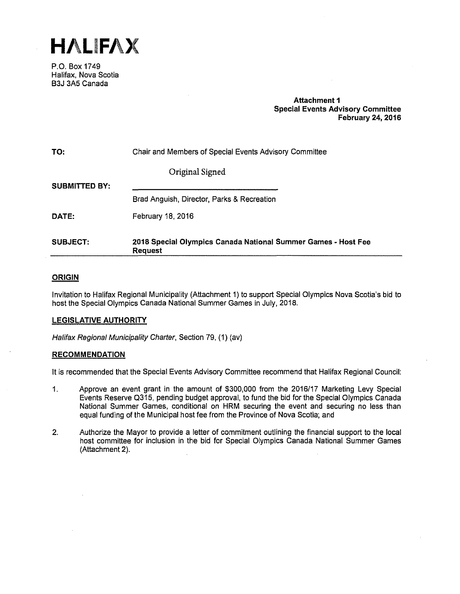**HALIFAX** 

P.O. Box 1749 Halifax, Nova Scotia B3J 3A5 Canada

# **Attachment 1 Special Events Advisory Committee February 24, 2016**

| TO:                  | Chair and Members of Special Events Advisory Committee                          |
|----------------------|---------------------------------------------------------------------------------|
|                      | Original Signed                                                                 |
| <b>SUBMITTED BY:</b> |                                                                                 |
|                      | Brad Anguish, Director, Parks & Recreation                                      |
| DATE:                | February 18, 2016                                                               |
| <b>SUBJECT:</b>      | 2018 Special Olympics Canada National Summer Games - Host Fee<br><b>Request</b> |

# **ORIGIN**

Invitation to Halifax Regional Municipality (Attachment 1) to support Special Olympics Nova Scotia's bid to host the Special Olympics Canada National Summer Games in July, 2018.

# **LEGISLATIVE AUTHORITY**

Halifax Regional Municipality Charter, Section 79, (1) (av)

# **RECOMMENDATION**

It is recommended that the Special Events Advisory Committee recommend that Halifax Regional Council:

- 1. Approve an event grant in the amount of \$300,000 from the 2016/17 Marketing Levy Special Events Reserve 0315, pending budget approval, to fund the bid for the Special Olympics Canada National Summer Games, conditional on HRM securing the event and securing no less than equal funding of the Municipal host fee from the Province of Nova Scotia; and
- 2. Authorize the Mayor to provide a letter of commitment outlining the financial support to the local host committee for inclusion in the bid for Special Olympics Canada National Summer Games (Attachment 2).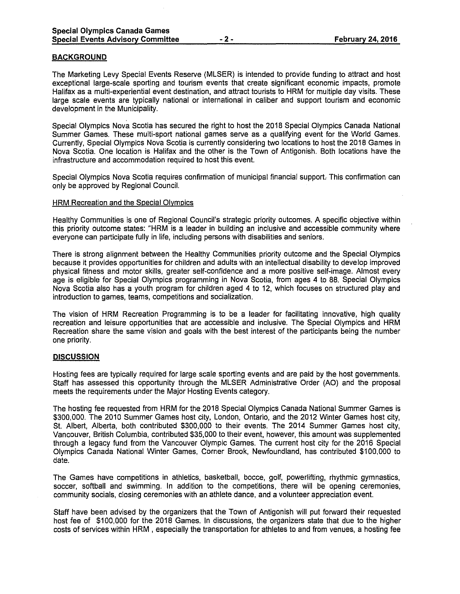## **BACKGROUND**

The Marketing Levy Special Events Reserve (MLSER) is intended to provide funding to attract and host exceptional large-scale sporting and tourism events that create significant economic impacts, promote Halifax as a multi-experiential event destination, and attract tourists to HRM for multiple day visits. These large scale events are typically national or international in caliber and support tourism and economic development in the Municipality.

Special Olympics Nova Scotia has secured the right to host the 2018 Special Olympics Canada National Summer Games. These multi-sport national games serve as a qualifying event for the World Games. Currently, Special Olympics Nova Scotia is currently considering two locations to host the 2018 Games in Nova Scotia. One location is Halifax and the other is the Town of Antigonish. Both locations have the infrastructure and accommodation required to host this event.

Special Olympics Nova Scotia requires confirmation of municipal financial support, This confirmation can only be approved by Regional Council.

#### HRM Recreation and the Special Olympics

Healthy Communities is one of Regional Council's strategic priority outcomes. A specific objective within this priority outcome states: "HRM is a leader in building an inclusive and accessible community where everyone can participate fully in life, including persons with disabilities and seniors.

There is strong alignment between the Healthy Communities priority outcome and the Special Olympics because it provides opportunities for children and adults with an intellectual disability to develop improved physical fitness and motor skills, greater self-confidence and a more positive self-image. Almost every age is eligible for Special Olympics programming in Nova Scotia, from ages 4 to 88. Special Olympics Nova Scotia also has a youth program for children aged 4 to 12, which focuses on structured play and introduction to games, teams, competitions and socialization.

The vision of HRM Recreation Programming is to be a leader for facilitating innovative, high quality recreation and leisure opportunities that are accessible and inclusive. The Special Olympics and HRM Recreation share the same vision and goals with the best interest of the participants being the number one priority.

#### **DISCUSSION**

Hosting fees are typically required for large scale sporting events and are paid by the host governments. Staff has assessed this opportunity through the MLSER Administrative Order (AO) and the proposal meets the requirements under the Major Hosting Events category.

The hosting fee requested from HRM for the 2018 Special Olympics Canada National Summer Games is \$300,000. The 2010 Summer Games host city, London, Ontario, and the 2012 Winter Games host city, St. Albert, Alberta, both contributed \$300,000 to their events. The 2014 Summer Games host city, Vancouver, British Columbia, contributed \$35,000 to their event, however, this amount was supplemented through a legacy fund from the Vancouver Olympic Games. The current host city for the 2016 Special Olympics Canada National Winter Games, Corner Brook, Newfoundland, has contributed \$100,000 to date.

The Games have competitions in athletics, basketball, bocce, golf, powerlifting, rhythmic gymnastics, soccer, softball and swimming. In addition to the competitions, there will be opening ceremonies, community socials, closing ceremonies with an athlete dance, and a volunteer appreciation event.

Staff have been advised by the organizers that the Town of Antigonish will put forward their requested host fee of \$100,000 for the 2018 Games. In discussions, the organizers state that due to the higher costs of services within HRM , especially the transportation for athletes to and from venues, a hosting fee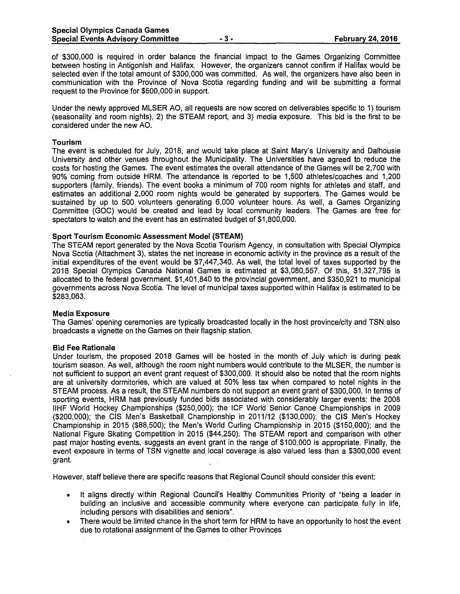of \$300,000 is required in order balance the financial impact to the Games Organizing Committee between hosting in Antigonish and Halifax. However, the organizers cannot confirm if Halifax would be selected even if the total amount of \$300,000 was committed. As well, the organizers have also been in communication with the Province of Nova Scotia regarding funding and will be submitting a formal request to the Province for \$500,000 in support.

Under the newly approved MLSER AO, all requests are now scored on deliverables specific to 1) tourism (seasonality and room nights), 2) the STEAM report, and 3) media exposure. This bid is the first to be considered under the new AO.

#### **Tourism**

The event is scheduled for July, 2018, and would take place at Saint Mary's University and Dalhousie University and other venues throughout the Municipality. The Universities have agreed \o reduce the costs for hosting the Games. The event estimates the overall attendance of the Games will be 2, 700 with 90% coming from outside HRM. The attendance is reported to be 1,500 athletes/coaches and 1,200 supporters (family, friends). The event books a minimum of 700 room nights for athletes and staff, and estimates an additional 2,000 room nights would be generated by supporters. The Games would be sustained by up to 500 volunteers generating 6,000 volunteer hours. As well, a Games Organizing Committee (GOC) would be created and lead by local community leaders. The Games are free for spectators to watch and the event has an estimated budget of \$1,800,000.

#### **Sport Tourism Economic Assessment Model (STEAM)**

The STEAM report generated by the Nova Scotia Tourism Agency, in consultation with Special Olympics Nova Scotia (Attachment 3), states the net increase in economic activity in the province as a result of the initial expenditures of the event would be \$7,447,340. As well, the total level of taxes supported by the 2018 Special Olympics Canada National Games is estimated at \$3,080,557. Of this, \$1,327,795 is allocated to the federal government, \$1,401,840 to the provincial government, and \$350,921 to municipal governments across Nova Scotia. The level of municipal taxes supported within Halifax is estimated to be \$283,063.

#### **Media Exposure**

The Games' opening ceremonies are typically broadcasted locally in the host province/city and TSN also broadcasts a vignette on the Games on their flagship station.

#### **Bid Fee Rationale**

Under tourism, the proposed 2018 Games will be hosted in the month of July which is during peak tourism season. As well, although the room night numbers would contribute to the MLSER, the number is not sufficient to support an event grant request of \$300,000. It should also be noted that the room nights are at university dormitories, which are valued at 50% less tax when compared to hotel nights in the STEAM process. As a result, the STEAM numbers do not support an event grant of \$300,000. In terms of sporting events, HRM has previously funded bids associated with considerably larger events; the 2008 llHF World Hockey Championships (\$250,000); the ICF World Senior Canoe Championships in 2009 (\$200,000); the CIS Men's Basketball. Championship in 2011/12 (\$130,000); the CIS Men's Hockey Championship in 2015 (\$88,500); the Men's World Curling Championship in 2015 (\$150,000); and the National Figure Skating Competition in 2015 (\$44,250). The STEAM report and comparison with other past major hosting events, suggests an event grant in the range of \$100,000 is appropriate. Finally, the event exposure in terms of TSN vignette and local coverage is also valued less than a \$300,000 event grant.

However, staff believe there are specific reasons that Regional Council should consider this event:

- It aligns directly within Regional Council's Healthy Communities Priority of "being a leader in building an inclusive and accessible community where everyone can participate fully in life, including persons with disabilities and seniors".
- There would be limited chance in the short term for HRM to have an opportunity to host the event due to rotational assignment of the Games to other Provinces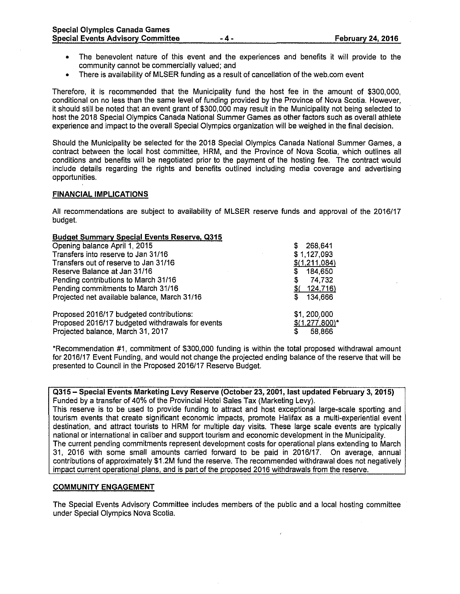- The benevolent nature of this event and the experiences and benefits it will provide to the community cannot be commercially valued; and
- There is availability of MLSER funding as a result of cancellation of the web.com event

Therefore, it is recommended that the Municipality fund the host fee in the amount of \$300,000, conditional on no less than the same level of funding provided by the Province of Nova Scotia. However, it should still be noted that an event grant of \$300,000 may result in the Municipality not being selected to host the 2018 Special Olympics Canada National Summer Games as other factors sach as overall athlete experience and impact to the overall Special Olympics organization will be weighed in the final decision.

Should the Municipality be selected for the 2018 Special Olympics Canada National Summer Games, a contract between the local host committee, HRM, and the Province of Nova Scotia, which outlines all conditions and benefits will be negotiated prior to the payment of the hosting fee. The contract would include details regarding the rights and benefits outlined including media coverage and advertising opportunities.

#### **FINANCIAL IMPLICATIONS**

All recommendations are subject to availability of MLSER reserve funds and approval of the 2016/17 budget.

#### **Budget Summary Special Events Reserve, 0315**

| Opening balance April 1, 2015                    | 268,641<br>S     |
|--------------------------------------------------|------------------|
| Transfers into reserve to Jan 31/16              | \$1,127,093      |
| Transfers out of reserve to Jan 31/16            | \$(1,211,084)    |
| Reserve Balance at Jan 31/16                     | 184,650<br>S     |
| Pending contributions to March 31/16             | 74,732<br>S      |
| Pending commitments to March 31/16               | $$$ (124,716)    |
| Projected net available balance, March 31/16     | 134,666<br>S     |
| Proposed 2016/17 budgeted contributions:         | \$1,200,000      |
| Proposed 2016/17 budgeted withdrawals for events | $$(1,277,800)^*$ |
| Projected balance, March 31, 2017                | 58,866           |

\*Recommendation #1, commitment of \$300,000 funding is within the total proposed withdrawal amount for 2016/17 Event Funding, and would not change the projected ending balance of the reserve that will be presented to Council in the Proposed 2016/17 Reserve Budget.

**Q315- Special Events Marketing Levy Reserve (October 23, 2001, last updated February 3, 2015)**  Funded by a transfer of 40% of the Provincial Hotel Sales Tax (Marketing Levy).

This reserve is to be used to provide funding to attract and host exceptional large-scale sporting and tourism events that create significant economic impacts, promote Halifax as a multi-experiential event destination, and attract tourists to HRM for multiple day visits. These large scale events are typically national or international in caliber and support tourism and economic development in the Municipality. The current pending commitments represent development costs for operational plans extending to March 31, 2016 with some small amounts carried forward to be paid in 2016/17. On average, annual contributions of approximately \$1.2M fund the reserve. The recommended withdrawal does not negatively impact current operational plans, and is part of the proposed 2016 withdrawals from the reserve.

#### **COMMUNITY ENGAGEMENT**

The Special Events Advisory Committee includes members of the public and a local hosting committee under Special Olympics Nova Scotia.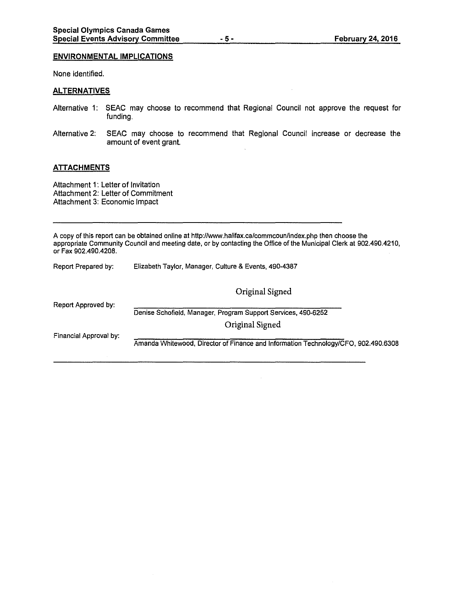#### **ENVIRONMENTAL IMPLICATIONS**

None identified.

#### **ALTERNATIVES**

- Alternative 1: SEAC may choose to recommend that Regional Council not approve the request for funding.
- Alternative 2: SEAC may choose to recommend that Regional Council increase or decrease the amount of event grant.

### **ATTACHMENTS**

Attachment 1: Letter of Invitation Attachment 2: Letter of Commitment Attachment 3: Economic Impact

A copy of this report can be obtained online at http://www.halifax.ca/commcounflndex.php then choose the appropriate Community Council and meeting date, or by contacting the Office of the Municipal Clerk at 902.490.4210, or Fax 902.490.4208.

| Report Prepared by:    | Elizabeth Taylor, Manager, Culture & Events, 490-4387                              |  |  |
|------------------------|------------------------------------------------------------------------------------|--|--|
|                        | Original Signed                                                                    |  |  |
| Report Approved by:    | Denise Schofield, Manager, Program Support Services, 490-6252                      |  |  |
|                        | Original Signed                                                                    |  |  |
| Financial Approval by: | Amanda Whitewood, Director of Finance and Information Technology/CFO, 902.490.6308 |  |  |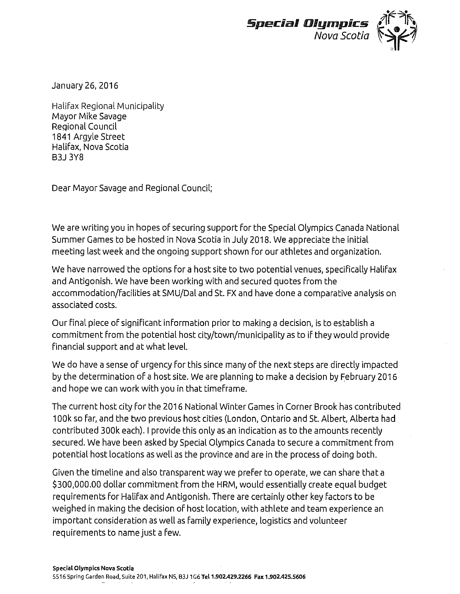

January 26, 2016

Halifax Regional Municipality Mayor Mike Savage Regional Council 1841 Argyle Street Halifax, Nova Scotia B3J 3Y8

Dear Mayor Savage and Regional Council;

We are writing you in hopes of securing support for the Special Olympics Canada National Summer Games to be hosted in Nova Scotia in July 2018. We appreciate the initial meeting last week and the ongoing support shown for our athletes and organization.

We have narrowed the options for a host site to two potential venues, specifically Halifax and Antigonish. We have been working with and secured quotes from the accommodation/facilities at SMU/Dal and St. FX and have done a comparative analysis on associated costs.

Our final piece of significant information prior to making a decision, is to establish a commitment from the potential host city/town/municipality as to if they would provide financial support and at what level.

We do have a sense of urgency for this since many of the next steps are directly impacted by the determination of a host site. We are planning to make a decision by February 2016 and hope we can work with you in that timeframe.

The current host city for the 2016 National Winter Games in Corner Brook has contributed 1 OOk so far, and the two previous host cities (London, Ontario and St. Albert, Alberta had contributed 300k each). I provide this only as an indication as to the amounts recently secured. We have been asked by Special Olympics Canada to secure a commitment from potential host locations as well as the province and are in the process of doing both.

Given the timeline and also transparent way we prefer to operate, we can share that a \$300,000.00 dollar commitment from the HRM, would essentially create equal budget requirements for Halifax and Antigonish. There are certainly other key factors to be weighed in making the decision of host location, with athlete and team experience an important consideration as well as family experience, logistics and volunteer requirements to name just a few.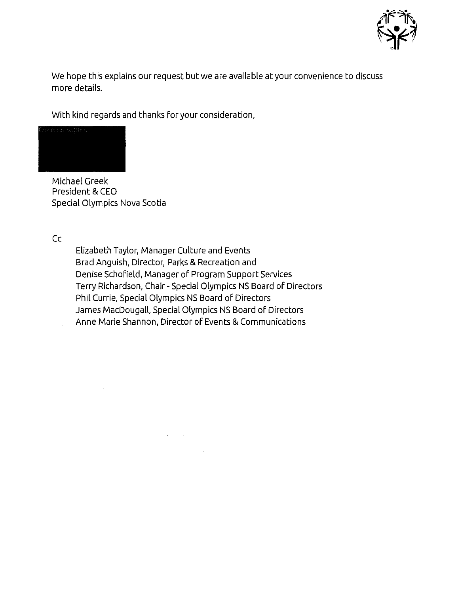

We hope this explains our request but we are available at your convenience to discuss more details.

With kind regards and thanks for your consideration,



Michael Greek President & CEO Special Olympics Nova Scotia

Cc

Elizabeth Taylor, Manager Culture and Events Brad Anguish, Director, Parks & Recreation and Denise Schofield, Manager of Program Support Services Terry Richardson, Chair- Special Olympics NS Board of Directors Phil Currie, Special Olympics NS Board of Directors James MacDougall, Special Olympics NS Board of Directors Anne Marie Shannon, Director of Events & Communications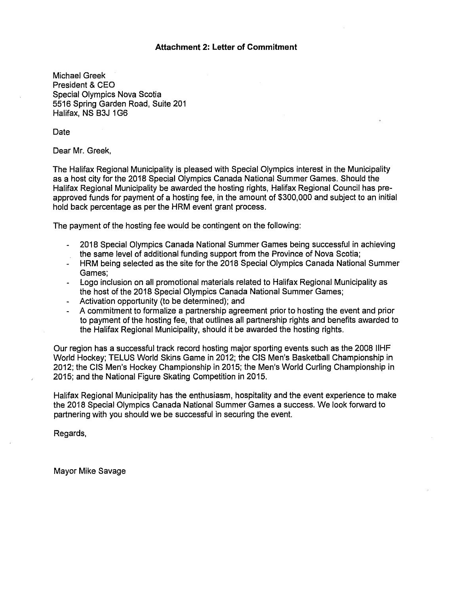# **Attachment 2: Letter of Commitment**

Michael Greek President & CEO Special Olympics Nova Scotia 5516 Spring Garden Road, Suite 201 Halifax, NS B3J 1G6

Date

Dear Mr. Greek,

The Halifax Regional Municipality is pleased with Special Olympics interest in the Municipality as a host city for the 2018 Special Olympics Canada National Summer Games. Should the Halifax Regional Municipality be awarded the hosting rights, Halifax Regional Council has preapproved funds for payment of a hosting fee, in the amount of \$300,000 and subject to an initial hold back percentage as per the HRM event grant process.

The payment of the hosting fee would be contingent on the following:

- 2018 Special Olympics Canada National Summer Games being successful in achieving the same level of additional funding support from the Province of Nova Scotia;
- HRM being selected as the site for the 2018 Special Olympics Canada National Summer  $\omega_{\rm{max}}$ Games;
- Logo inclusion on all promotional materials related to Halifax Regional Municipality as the host of the 2018 Special Olympics Canada National Summer Games;
- Activation opportunity (to be determined); and
- A commitment to formalize a partnership agreement prior to hosting the event and prior to payment of the hosting fee, that outlines all partnership rights and benefits awarded to the Halifax Regional Municipality, should it be awarded the hosting rights.

Our region has a successful track record hosting major sporting events such as the 2008 llHF World Hockey; TELUS World Skins Game in 2012; the CIS Men's Basketball Championship in 2012; the CIS Men's Hockey Championship in 2015; the Men's World Curling Championship in 2015; and the National Figure Skating Competition in 2015.

Halifax Regional Municipality has the enthusiasm, hospitality and the event experience to make the 2018 Special Olympics Canada National Summer Games a success. We look forward to partnering with you should we be successful in securing the event.

Regards,

Mayor Mike Savage